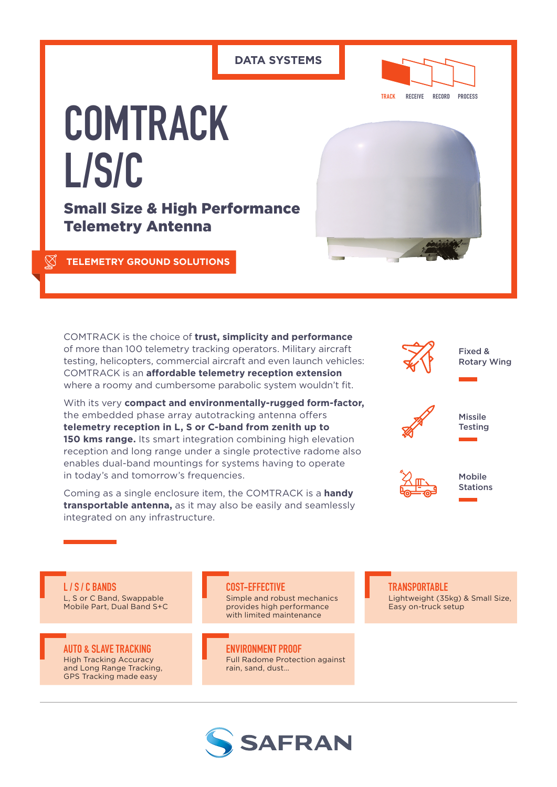#### **DATA SYSTEMS**



# **COMTRACK L/S/C**

Small Size & High Performance Telemetry Antenna

**TELEMETRY GROUND SOLUTIONS**

COMTRACK is the choice of **trust, simplicity and performance** of more than 100 telemetry tracking operators. Military aircraft testing, helicopters, commercial aircraft and even launch vehicles: COMTRACK is an **affordable telemetry reception extension** where a roomy and cumbersome parabolic system wouldn't fit.

With its very **compact and environmentally-rugged form-factor,** the embedded phase array autotracking antenna offers **telemetry reception in L, S or C-band from zenith up to 150 kms range.** Its smart integration combining high elevation reception and long range under a single protective radome also enables dual-band mountings for systems having to operate in today's and tomorrow's frequencies.

Coming as a single enclosure item, the COMTRACK is a **handy transportable antenna,** as it may also be easily and seamlessly integrated on any infrastructure.



**L / S / C BANDS** L, S or C Band, Swappable Mobile Part, Dual Band S+C

**AUTO & SLAVE TRACKING** High Tracking Accuracy and Long Range Tracking, GPS Tracking made easy

#### **COST-EFFECTIVE**

Simple and robust mechanics provides high performance with limited maintenance

**ENVIRONMENT PROOF** Full Radome Protection against rain, sand, dust…



#### **TRANSPORTABLE** Lightweight (35kg) & Small Size, Easy on-truck setup